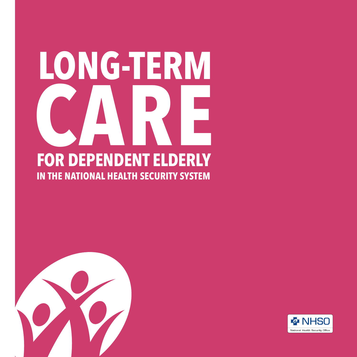# **IN THE NATIONAL HEALTH SECURITY SYSTEM FOR DEPENDENT ELDERLY LONG-TERM CARE**



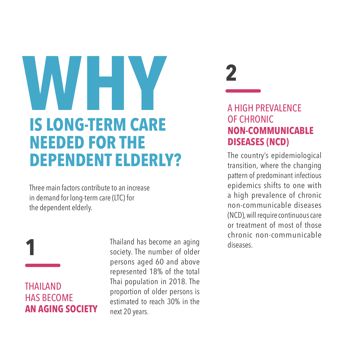# **IS LONG-TERM CARE NEEDED FOR THE DEPENDENT ELDERLY? WHY**

Three main factors contribute to an increase in demand for long-term care (LTC) for the dependent elderly.

THAILAND HAS BECOME **AN AGING SOCIETY**

**1**

Thailand has become an aging society. The number of older persons aged 60 and above represented 18% of the total Thai population in 2018. The proportion of older persons is estimated to reach 30% in the next 20 years.



#### A HIGH PREVALENCE OF CHRONIC **NON-COMMUNICABLE DISEASES (NCD)**

The country's epidemiological transition, where the changing pattern of predominant infectious epidemics shifts to one with a high prevalence of chronic non-communicable diseases (NCD), will require continuous care or treatment of most of those chronic non-communicable diseases.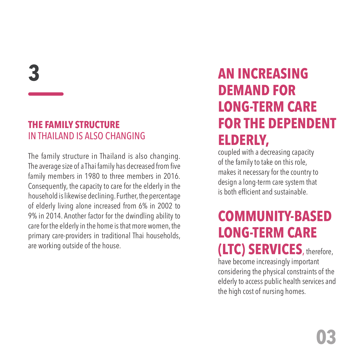**3**

#### **THE FAMILY STRUCTURE**  IN THAILAND IS ALSO CHANGING

The family structure in Thailand is also changing. The average size of a Thai family has decreased from five family members in 1980 to three members in 2016. Consequently, the capacity to care for the elderly in the household is likewise declining. Further, the percentage of elderly living alone increased from 6% in 2002 to 9% in 2014. Another factor for the dwindling ability to care for the elderly in the home is that more women, the primary care-providers in traditional Thai households, are working outside of the house.

### **AN INCREASING DEMAND FOR LONG-TERM CARE FOR THE DEPENDENT ELDERLY,**

coupled with a decreasing capacity of the family to take on this role, makes it necessary for the country to design a long-term care system that is both efficient and sustainable.

### **COMMUNITY-BASED LONG-TERM CARE (LTC) SERVICES**, therefore,

have become increasingly important considering the physical constraints of the elderly to access public health services and the high cost of nursing homes.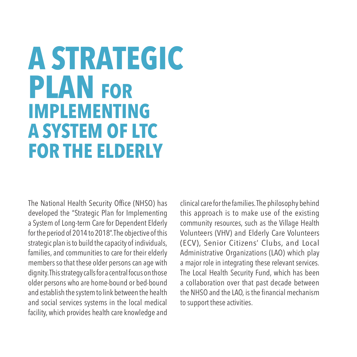## **PLAN FOR IMPLEMENTING A SYSTEM OF LTC FOR THE ELDERLY A STRATEGIC**

The National Health Security Office (NHSO) has developed the "Strategic Plan for Implementing a System of Long-term Care for Dependent Elderly for the period of 2014 to 2018". The objective of this strategic plan is to build the capacity of individuals, families, and communities to care for their elderly members so that these older persons can age with dignity. This strategy calls for a central focus on those older persons who are home-bound or bed-bound and establish the system to link between the health and social services systems in the local medical facility, which provides health care knowledge and

clinical care for the families. The philosophy behind this approach is to make use of the existing community resources, such as the Village Health Volunteers (VHV) and Elderly Care Volunteers (ECV), Senior Citizens' Clubs, and Local Administrative Organizations (LAO) which play a major role in integrating these relevant services. The Local Health Security Fund, which has been a collaboration over that past decade between the NHSO and the LAO, is the financial mechanism to support these activities.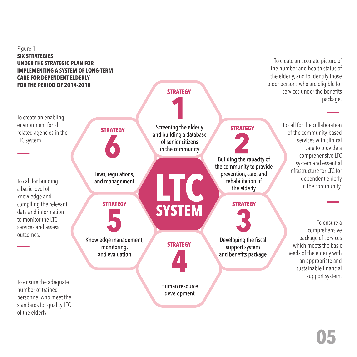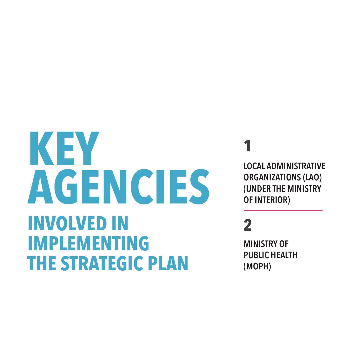# **INVOLVED IN IMPLEMENTING THE STRATEGIC PLAN KEY** LOCAL ADMINISTRATIVE<br> **AGENCIES ORGANIZATIONS (LAO)**<br> **OF INTERIOR**

## **1**

**ORGANIZATIONS (LAO) (UNDER THE MINISTRY OF INTERIOR)**

### **2**

**MINISTRY OF PUBLIC HEALTH (MOPH)**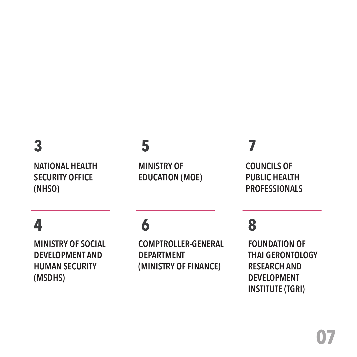### **3**

**NATIONAL HEALTH SECURITY OFFICE (NHSO)**

### **5**

**MINISTRY OF EDUCATION (MOE)**

### **7**

**COUNCILS OF PUBLIC HEALTH PROFESSIONALS**

### **4**

**MINISTRY OF SOCIAL DEVELOPMENT AND HUMAN SECURITY (MSDHS)**

### **6**

**COMPTROLLER-GENERAL DEPARTMENT (MINISTRY OF FINANCE)**

### **8**

**FOUNDATION OF THAI GERONTOLOGY RESEARCH AND DEVELOPMENT INSTITUTE (TGRI)**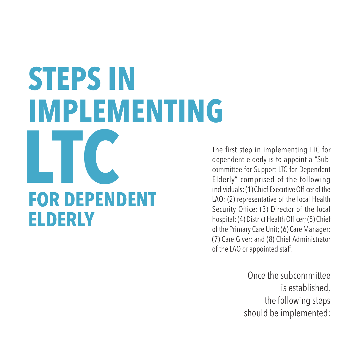# **FOR DEPENDENT ELDERLY STEPS IN IMPLEMENTING LTC**

The first step in implementing LTC for dependent elderly is to appoint a "Subcommittee for Support LTC for Dependent Elderly" comprised of the following individuals: (1) Chief Executive Officer of the LAO; (2) representative of the local Health Security Office; (3) Director of the local hospital; (4) District Health Officer; (5) Chief of the Primary Care Unit; (6) Care Manager; (7) Care Giver; and (8) Chief Administrator of the LAO or appointed staff.

> Once the subcommittee is established, the following steps should be implemented: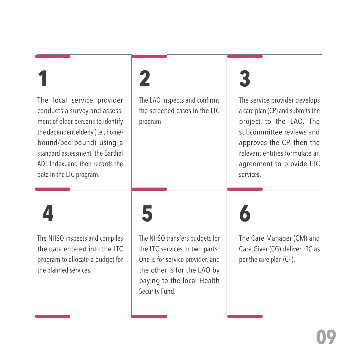## **1**

The local service provider conducts a survey and assessment of older persons to identify the dependent elderly (i.e., homebound/bed-bound) using a standard assessment, the Barthel ADL Index, and then records the data in the LTC program.

## **2**

The LAO inspects and confirms the screened cases in the LTC program.

# **3**

The service provider develops a care plan (CP) and submits the project to the LAO. The subcommittee reviews and approves the CP, then the relevant entities formulate an agreement to provide LTC services.

## **4**

The NHSO inspects and compiles the data entered into the LTC program to allocate a budget for the planned services.

## **5**

The NHSO transfers budgets for the LTC services in two parts: One is for service provider, and the other is for the LAO by paying to the local Health Security Fund.

**6**

The Care Manager (CM) and Care Giver (CG) deliver LTC as per the care plan (CP).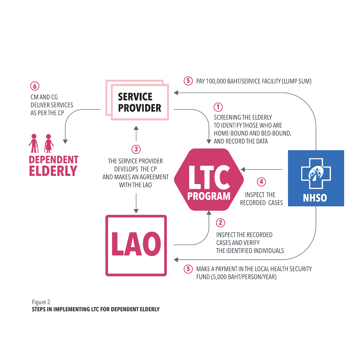

#### Figure 2 **STEPS IN IMPLEMENTING LTC FOR DEPENDENT ELDERLY**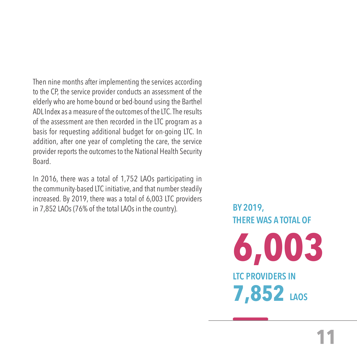Then nine months after implementing the services according to the CP, the service provider conducts an assessment of the elderly who are home-bound or bed-bound using the Barthel ADL Index as a measure of the outcomes of the LTC. The results of the assessment are then recorded in the LTC program as a basis for requesting additional budget for on-going LTC. In addition, after one year of completing the care, the service provider reports the outcomes to the National Health Security Board.

In 2016, there was a total of 1,752 LAOs participating in the community-based LTC initiative, and that number steadily increased. By 2019, there was a total of 6,003 LTC providers in 7,852 LAOs (76% of the total LAOs in the country). **BY 2019,** 

**THERE WAS A TOTAL OF**

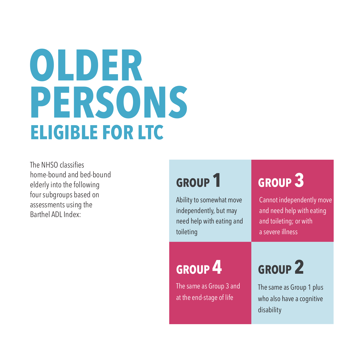# **ELIGIBLE FOR LTC OLDER PERSONS**

The NHSO classifies home-bound and bed-bound elderly into the following four subgroups based on assessments using the Barthel ADL Index:

### **GROUP 1**

Ability to somewhat move independently, but may need help with eating and toileting

## **GROUP 3**

Cannot independently move and need help with eating and toileting; or with a severe illness

## **GROUP 4**

The same as Group 3 and at the end-stage of life

## **GROUP 2**

The same as Group 1 plus who also have a cognitive disability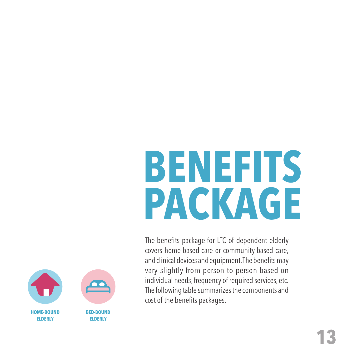# **BENEFITS PACKAGE**

The benefits package for LTC of dependent elderly covers home-based care or community-based care, and clinical devices and equipment. The benefits may vary slightly from person to person based on individual needs, frequency of required services, etc. The following table summarizes the components and cost of the benefits packages.

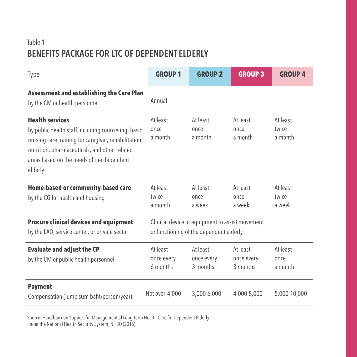#### Table 1 **BENEFITS PACKAGE FOR LTC OF DEPENDENT ELDERLY**

 $\overline{a}$ 

| Type                                                                                                                                                                                                                                          | <b>GROUP 1</b>                                                                             | <b>GROUP 2</b>                     | <b>GROUP 3</b>                     | <b>GROUP 4</b>               |
|-----------------------------------------------------------------------------------------------------------------------------------------------------------------------------------------------------------------------------------------------|--------------------------------------------------------------------------------------------|------------------------------------|------------------------------------|------------------------------|
| <b>Assessment and establishing the Care Plan</b><br>by the CM or health personnel                                                                                                                                                             | Annual                                                                                     |                                    |                                    |                              |
| <b>Health services</b><br>by public health staff including counseling, basic<br>nursing care training for caregiver, rehabilitation,<br>nutrition, pharmaceuticals, and other related<br>areas based on the needs of the dependent<br>elderly | At least<br>once<br>a month                                                                | At least<br>once<br>a month        | At least<br>once<br>a month        | At least<br>twice<br>a month |
| Home-based or community-based care<br>by the CG for health and housing                                                                                                                                                                        | At least<br>twice<br>a month                                                               | At least<br>once<br>a week         | At least<br>once<br>a week         | At least<br>twice<br>a week  |
| <b>Procure clinical devices and equipment</b><br>by the LAO, service center, or private sector                                                                                                                                                | Clinical device or equipment to assist movement<br>or functioning of the dependent elderly |                                    |                                    |                              |
| <b>Evaluate and adjust the CP</b><br>by the CM or public health personnel                                                                                                                                                                     | At least<br>once every<br>6 months                                                         | At least<br>once every<br>3 months | At least<br>once every<br>3 months | At least<br>once<br>a month  |
| <b>Payment</b><br>Compensation (lump sum baht/person/year)                                                                                                                                                                                    | Not over 4,000                                                                             | 3,000-6,000                        | 4,000-8,000                        | 5,000-10,000                 |

Source: Handbook on Support for Management of Long-term Health Care for Dependent Elderly under the National Health Security System, NHSO (2016)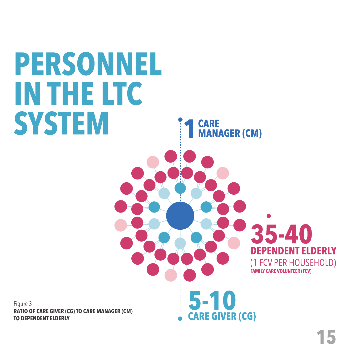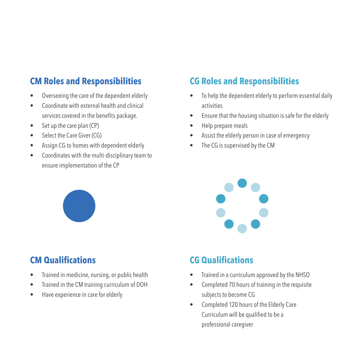#### **CM Roles and Responsibilities**

- Overseeing the care of the dependent elderly
- Coordinate with external health and clinical services covered in the benefits package.
- Set up the care plan (CP)
- Select the Care Giver (CG)
- Assign CG to homes with dependent elderly
- Coordinates with the multi-disciplinary team to ensure implementation of the CP



### **CM Qualifications**

- Trained in medicine, nursing, or public health
- Trained in the CM training curriculum of DOH
- Have experience in care for elderly

### **CG Roles and Responsibilities**

- To help the dependent elderly to perform essential daily activities
- Ensure that the housing situation is safe for the elderly
- Help prepare meals
- Assist the elderly person in case of emergency
- The CG is supervised by the CM



#### **CG Qualifications**

- Trained in a curriculum approved by the NHSO
- Completed 70 hours of training in the requisite subjects to become CG
- Completed 120 hours of the Elderly Care Curriculum will be qualified to be a professional caregiver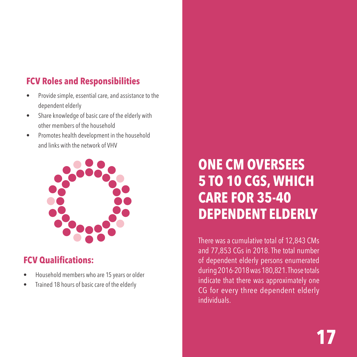### **FCV Roles and Responsibilities**

- Provide simple, essential care, and assistance to the dependent elderly
- Share knowledge of basic care of the elderly with other members of the household
- Promotes health development in the household and links with the network of VHV



#### **FCV Qualifications:**

- Household members who are 15 years or older
- Trained 18 hours of basic care of the elderly

### **ONE CM OVERSEES 5 TO 10 CGS, WHICH CARE FOR 35-40 DEPENDENT ELDERLY**

There was a cumulative total of 12,843 CMs and 77,853 CGs in 2018. The total number of dependent elderly persons enumerated during 2016-2018 was 180,821. Those totals indicate that there was approximately one CG for every three dependent elderly individuals.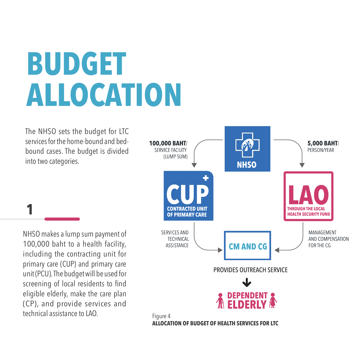# **BUDGET ALLOCATION**

The NHSO sets the budget for LTC services for the home-bound and bedbound cases. The budget is divided into two categories.

NHSO makes a lump sum payment of 100,000 baht to a health facility, including the contracting unit for primary care (CUP) and primary care unit (PCU). The budget will be used for screening of local residents to find eligible elderly, make the care plan (CP), and provide services and technical assistance to LAO.

**1**

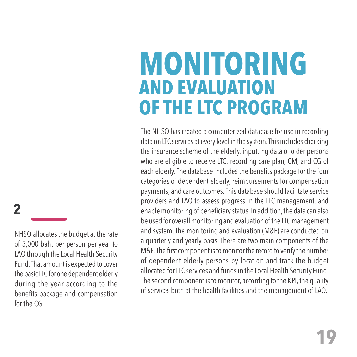## **MONITORING AND EVALUATION OF THE LTC PROGRAM**

The NHSO has created a computerized database for use in recording data on LTC services at every level in the system. This includes checking the insurance scheme of the elderly, inputting data of older persons who are eligible to receive LTC, recording care plan, CM, and CG of each elderly. The database includes the benefits package for the four categories of dependent elderly, reimbursements for compensation payments, and care outcomes. This database should facilitate service providers and LAO to assess progress in the LTC management, and enable monitoring of beneficiary status. In addition, the data can also be used for overall monitoring and evaluation of the LTC management and system. The monitoring and evaluation (M&E) are conducted on a quarterly and yearly basis. There are two main components of the M&E. The first component is to monitor the record to verify the number of dependent elderly persons by location and track the budget allocated for LTC services and funds in the Local Health Security Fund. The second component is to monitor, according to the KPI, the quality of services both at the health facilities and the management of LAO.

### **2**

NHSO allocates the budget at the rate of 5,000 baht per person per year to LAO through the Local Health Security Fund. That amount is expected to cover the basic LTC for one dependent elderly during the year according to the benefits package and compensation for the CG.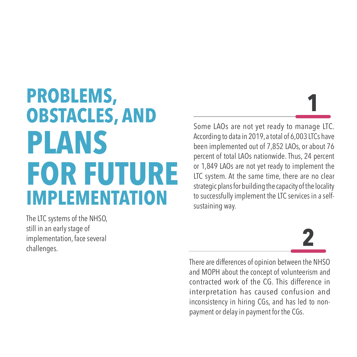## **PROBLEMS, OBSTACLES, AND PLANS FOR FUTURE IMPLEMENTATION**

The LTC systems of the NHSO, still in an early stage of implementation, face several challenges.

Some LAOs are not yet ready to manage LTC. According to data in 2019, a total of 6,003 LTCs have been implemented out of 7,852 LAOs, or about 76 percent of total LAOs nationwide. Thus, 24 percent or 1,849 LAOs are not yet ready to implement the LTC system. At the same time, there are no clear strategic plans for building the capacity of the locality to successfully implement the LTC services in a selfsustaining way.



**1**

There are differences of opinion between the NHSO and MOPH about the concept of volunteerism and contracted work of the CG. This difference in interpretation has caused confusion and inconsistency in hiring CGs, and has led to nonpayment or delay in payment for the CGs.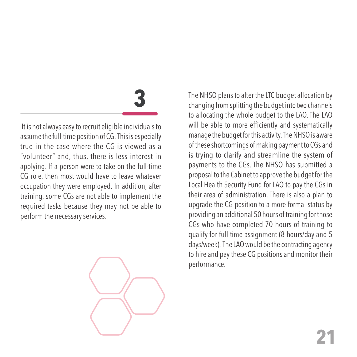# **3**

 It is not always easy to recruit eligible individuals to assume the full-time position of CG. This is especially true in the case where the CG is viewed as a "volunteer" and, thus, there is less interest in applying. If a person were to take on the full-time CG role, then most would have to leave whatever occupation they were employed. In addition, after training, some CGs are not able to implement the required tasks because they may not be able to perform the necessary services.



The NHSO plans to alter the LTC budget allocation by changing from splitting the budget into two channels to allocating the whole budget to the LAO. The LAO will be able to more efficiently and systematically manage the budget for this activity. The NHSO is aware of these shortcomings of making payment to CGs and is trying to clarify and streamline the system of payments to the CGs. The NHSO has submitted a proposal to the Cabinet to approve the budget for the Local Health Security Fund for LAO to pay the CGs in their area of administration. There is also a plan to upgrade the CG position to a more formal status by providing an additional 50 hours of training for those CGs who have completed 70 hours of training to qualify for full-time assignment (8 hours/day and 5 days/week). The LAO would be the contracting agency to hire and pay these CG positions and monitor their performance.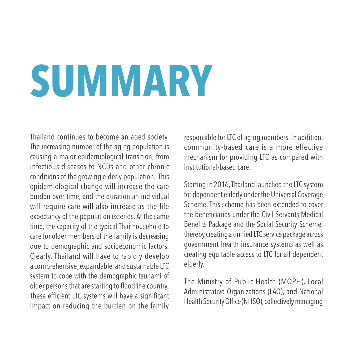# **SUMMARY**

Thailand continues to become an aged society. The increasing number of the aging population is causing a major epidemiological transition, from infectious diseases to NCDs and other chronic conditions of the growing elderly population. This epidemiological change will increase the care burden over time, and the duration an individual will require care will also increase as the life expectancy of the population extends. At the same time, the capacity of the typical Thai household to care for older members of the family is decreasing due to demographic and socioeconomic factors. Clearly, Thailand will have to rapidly develop a comprehensive, expandable, and sustainable LTC system to cope with the demographic tsunami of older persons that are starting to flood the country. These efficient LTC systems will have a significant impact on reducing the burden on the family

responsible for LTC of aging members. In addition, community-based care is a more effective mechanism for providing LTC as compared with institutional-based care.

Starting in 2016, Thailand launched the LTC system for dependent elderly under the Universal Coverage Scheme. This scheme has been extended to cover the beneficiaries under the Civil Servants Medical Benefits Package and the Social Security Scheme, thereby creating a unified LTC service package across government health insurance systems as well as creating equitable access to LTC for all dependent elderly.

The Ministry of Public Health (MOPH), Local Administrative Organizations (LAO), and National Health Security Office (NHSO), collectively managing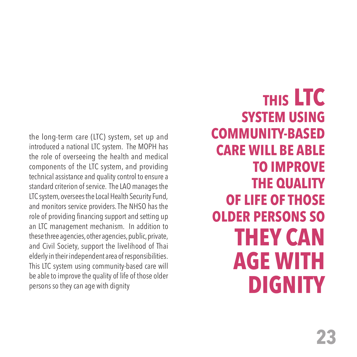the long-term care (LTC) system, set up and introduced a national LTC system. The MOPH has the role of overseeing the health and medical components of the LTC system, and providing technical assistance and quality control to ensure a standard criterion of service. The LAO manages the LTC system, oversees the Local Health Security Fund, and monitors service providers. The NHSO has the role of providing financing support and setting up an LTC management mechanism. In addition to these three agencies, other agencies, public, private, and Civil Society, support the livelihood of Thai elderly in their independent area of responsibilities. This LTC system using community-based care will be able to improve the quality of life of those older persons so they can age with dignity

**THIS LTC SYSTEM USING COMMUNITY-BASED CARE WILL BE ABLE TO IMPROVE THE QUALITY OF LIFE OF THOSE OLDER PERSONS SO THEY CAN AGE WITH DIGNITY**